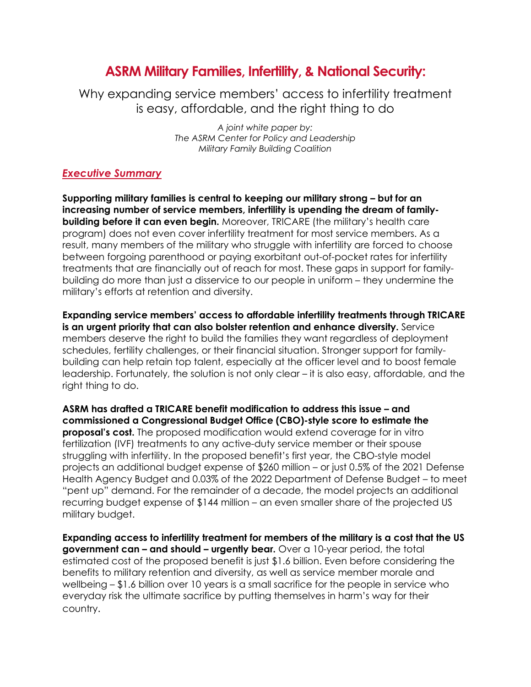# **ASRM Military Families, Infertility, & National Security:**

Why expanding service members' access to infertility treatment is easy, affordable, and the right thing to do

> *A joint white paper by: The ASRM Center for Policy and Leadership Military Family Building Coalition*

#### *Executive Summary*

**Supporting military families is central to keeping our military strong – but for an increasing number of service members, infertility is upending the dream of familybuilding before it can even begin.** Moreover, TRICARE (the military's health care program) does not even cover infertility treatment for most service members. As a result, many members of the military who struggle with infertility are forced to choose between forgoing parenthood or paying exorbitant out-of-pocket rates for infertility treatments that are financially out of reach for most. These gaps in support for familybuilding do more than just a disservice to our people in uniform – they undermine the military's efforts at retention and diversity.

**Expanding service members' access to affordable infertility treatments through TRICARE is an urgent priority that can also bolster retention and enhance diversity.** Service members deserve the right to build the families they want regardless of deployment schedules, fertility challenges, or their financial situation. Stronger support for familybuilding can help retain top talent, especially at the officer level and to boost female leadership. Fortunately, the solution is not only clear – it is also easy, affordable, and the right thing to do.

**ASRM has drafted a TRICARE benefit modification to address this issue – and commissioned a Congressional Budget Office (CBO)-style score to estimate the proposal's cost.** The proposed modification would extend coverage for in vitro fertilization (IVF) treatments to any active-duty service member or their spouse struggling with infertility. In the proposed benefit's first year, the CBO-style model projects an additional budget expense of \$260 million – or just 0.5% of the 2021 Defense Health Agency Budget and 0.03% of the 2022 Department of Defense Budget – to meet "pent up" demand. For the remainder of a decade, the model projects an additional recurring budget expense of \$144 million – an even smaller share of the projected US military budget.

**Expanding access to infertility treatment for members of the military is a cost that the US government can – and should – urgently bear.** Over a 10-year period, the total estimated cost of the proposed benefit is just \$1.6 billion. Even before considering the benefits to military retention and diversity, as well as service member morale and wellbeing – \$1.6 billion over 10 years is a small sacrifice for the people in service who everyday risk the ultimate sacrifice by putting themselves in harm's way for their country.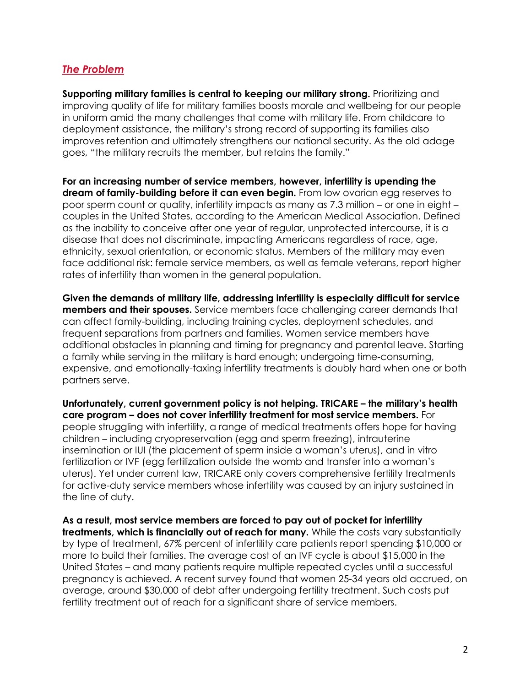## *The Problem*

**Supporting military families is central to keeping our military strong.** Prioritizing and improving quality of life for military families boosts morale and wellbeing for our people in uniform amid the many challenges that come with military life. From childcare to deployment assistance, the military's strong record of supporting its families also improves retention and ultimately strengthens our national security. As the old adage goes, "the military recruits the member, but retains the family."

**For an increasing number of service members, however, infertility is upending the dream of family-building before it can even begin.** From low ovarian egg reserves to poor sperm count or quality, infertility impacts as many as 7.3 million – or one in eight – couples in the United States, according to the American Medical Association. Defined as the inability to conceive after one year of regular, unprotected intercourse, it is a disease that does not discriminate, impacting Americans regardless of race, age, ethnicity, sexual orientation, or economic status. Members of the military may even face additional risk: female service members, as well as female veterans, report higher rates of infertility than women in the general population.

**Given the demands of military life, addressing infertility is especially difficult for service members and their spouses.** Service members face challenging career demands that can affect family-building, including training cycles, deployment schedules, and frequent separations from partners and families. Women service members have additional obstacles in planning and timing for pregnancy and parental leave. Starting a family while serving in the military is hard enough; undergoing time-consuming, expensive, and emotionally-taxing infertility treatments is doubly hard when one or both partners serve.

**Unfortunately, current government policy is not helping. TRICARE – the military's health care program – does not cover infertility treatment for most service members.** For people struggling with infertility, a range of medical treatments offers hope for having children – including cryopreservation (egg and sperm freezing), intrauterine insemination or IUI (the placement of sperm inside a woman's uterus), and in vitro fertilization or IVF (egg fertilization outside the womb and transfer into a woman's uterus). Yet under current law, TRICARE only covers comprehensive fertility treatments for active-duty service members whose infertility was caused by an injury sustained in the line of duty.

**As a result, most service members are forced to pay out of pocket for infertility treatments, which is financially out of reach for many.** While the costs vary substantially by type of treatment, 67% percent of infertility care patients report spending \$10,000 or more to build their families. The average cost of an IVF cycle is about \$15,000 in the United States – and many patients require multiple repeated cycles until a successful pregnancy is achieved. A recent survey found that women 25-34 years old accrued, on average, around \$30,000 of debt after undergoing fertility treatment. Such costs put fertility treatment out of reach for a significant share of service members.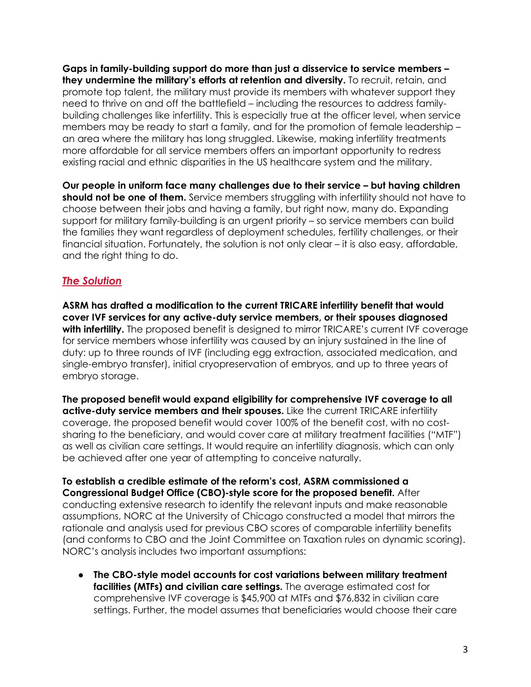**Gaps in family-building support do more than just a disservice to service members – they undermine the military's efforts at retention and diversity.** To recruit, retain, and promote top talent, the military must provide its members with whatever support they need to thrive on and off the battlefield – including the resources to address familybuilding challenges like infertility. This is especially true at the officer level, when service members may be ready to start a family, and for the promotion of female leadership – an area where the military has long struggled. Likewise, making infertility treatments more affordable for all service members offers an important opportunity to redress existing racial and ethnic disparities in the US healthcare system and the military.

**Our people in uniform face many challenges due to their service – but having children should not be one of them.** Service members struggling with infertility should not have to choose between their jobs and having a family, but right now, many do. Expanding support for military family-building is an urgent priority – so service members can build the families they want regardless of deployment schedules, fertility challenges, or their financial situation. Fortunately, the solution is not only clear – it is also easy, affordable, and the right thing to do.

## *The Solution*

**ASRM has drafted a modification to the current TRICARE infertility benefit that would cover IVF services for any active-duty service members, or their spouses diagnosed**  with infertility. The proposed benefit is designed to mirror TRICARE's current IVF coverage for service members whose infertility was caused by an injury sustained in the line of duty: up to three rounds of IVF (including egg extraction, associated medication, and single-embryo transfer), initial cryopreservation of embryos, and up to three years of embryo storage.

**The proposed benefit would expand eligibility for comprehensive IVF coverage to all active-duty service members and their spouses.** Like the current TRICARE infertility coverage, the proposed benefit would cover 100% of the benefit cost, with no costsharing to the beneficiary, and would cover care at military treatment facilities ("MTF") as well as civilian care settings. It would require an infertility diagnosis, which can only be achieved after one year of attempting to conceive naturally.

#### **To establish a credible estimate of the reform's cost, ASRM commissioned a Congressional Budget Office (CBO)-style score for the proposed benefit.** After

conducting extensive research to identify the relevant inputs and make reasonable assumptions, NORC at the University of Chicago constructed a model that mirrors the rationale and analysis used for previous CBO scores of comparable infertility benefits (and conforms to CBO and the Joint Committee on Taxation rules on dynamic scoring). NORC's analysis includes two important assumptions:

● **The CBO-style model accounts for cost variations between military treatment facilities (MTFs) and civilian care settings.** The average estimated cost for comprehensive IVF coverage is \$45,900 at MTFs and \$76,832 in civilian care settings. Further, the model assumes that beneficiaries would choose their care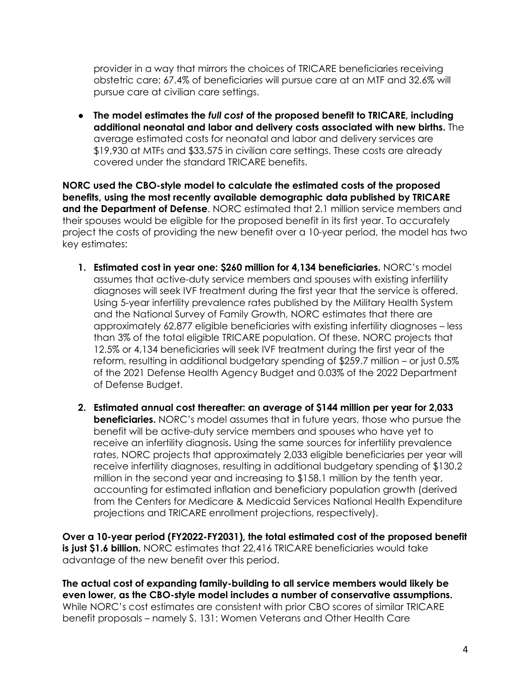provider in a way that mirrors the choices of TRICARE beneficiaries receiving obstetric care: 67.4% of beneficiaries will pursue care at an MTF and 32.6% will pursue care at civilian care settings.

● **The model estimates the** *full cost* **of the proposed benefit to TRICARE, including additional neonatal and labor and delivery costs associated with new births.** The average estimated costs for neonatal and labor and delivery services are \$19,930 at MTFs and \$33,575 in civilian care settings. These costs are already covered under the standard TRICARE benefits.

**NORC used the CBO-style model to calculate the estimated costs of the proposed benefits, using the most recently available demographic data published by TRICARE and the Department of Defense**. NORC estimated that 2.1 million service members and their spouses would be eligible for the proposed benefit in its first year. To accurately project the costs of providing the new benefit over a 10-year period, the model has two key estimates:

- **1. Estimated cost in year one: \$260 million for 4,134 beneficiaries.** NORC's model assumes that active-duty service members and spouses with existing infertility diagnoses will seek IVF treatment during the first year that the service is offered. Using 5-year infertility prevalence rates published by the Military Health System and the National Survey of Family Growth, NORC estimates that there are approximately 62,877 eligible beneficiaries with existing infertility diagnoses – less than 3% of the total eligible TRICARE population. Of these, NORC projects that 12.5% or 4,134 beneficiaries will seek IVF treatment during the first year of the reform, resulting in additional budgetary spending of \$259.7 million – or just 0.5% of the 2021 Defense Health Agency Budget and 0.03% of the 2022 Department of Defense Budget.
- **2. Estimated annual cost thereafter: an average of \$144 million per year for 2,033 beneficiaries.** NORC's model assumes that in future years, those who pursue the benefit will be active-duty service members and spouses who have yet to receive an infertility diagnosis. Using the same sources for infertility prevalence rates, NORC projects that approximately 2,033 eligible beneficiaries per year will receive infertility diagnoses, resulting in additional budgetary spending of \$130.2 million in the second year and increasing to \$158.1 million by the tenth year, accounting for estimated inflation and beneficiary population growth (derived from the Centers for Medicare & Medicaid Services National Health Expenditure projections and TRICARE enrollment projections, respectively).

**Over a 10-year period (FY2022-FY2031), the total estimated cost of the proposed benefit is just \$1.6 billion.** NORC estimates that 22,416 TRICARE beneficiaries would take advantage of the new benefit over this period.

**The actual cost of expanding family-building to all service members would likely be even lower, as the CBO-style model includes a number of conservative assumptions.**  While NORC's cost estimates are consistent with prior CBO scores of similar TRICARE benefit proposals – namely S. 131: Women Veterans and Other Health Care